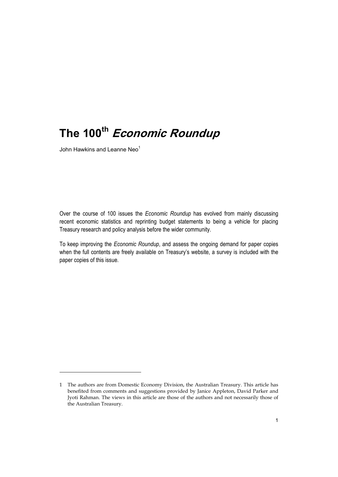## **The 100th Economic Roundup**

John Hawkins and Leanne Neo<sup>1</sup>

-

Over the course of 100 issues the *Economic Roundup* has evolved from mainly discussing recent economic statistics and reprinting budget statements to being a vehicle for placing Treasury research and policy analysis before the wider community.

To keep improving the *Economic Roundup*, and assess the ongoing demand for paper copies when the full contents are freely available on Treasury's website, a survey is included with the paper copies of this issue.

<sup>1</sup> The authors are from Domestic Economy Division, the Australian Treasury. This article has benefited from comments and suggestions provided by Janice Appleton, David Parker and Jyoti Rahman. The views in this article are those of the authors and not necessarily those of the Australian Treasury.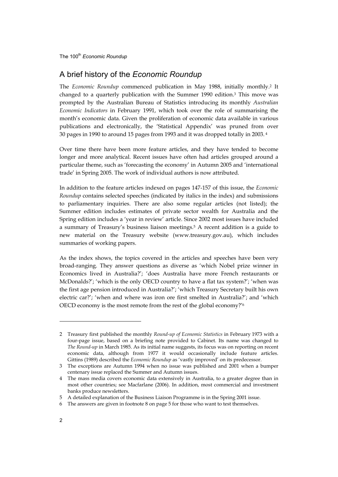The 100<sup>th</sup> Economic Roundup

## A brief history of the *Economic Roundup*

The *Economic Roundup* commenced publication in May 1988, initially monthly.2 It changed to a quarterly publication with the Summer 1990 edition.3 This move was prompted by the Australian Bureau of Statistics introducing its monthly *Australian Economic Indicators* in February 1991, which took over the role of summarising the month's economic data. Given the proliferation of economic data available in various publications and electronically, the 'Statistical Appendix' was pruned from over 30 pages in 1990 to around 15 pages from 1993 and it was dropped totally in 2003. 4

Over time there have been more feature articles, and they have tended to become longer and more analytical. Recent issues have often had articles grouped around a particular theme, such as 'forecasting the economy' in Autumn 2005 and 'international trade' in Spring 2005. The work of individual authors is now attributed.

In addition to the feature articles indexed on pages 147-157 of this issue, the *Economic Roundup* contains selected speeches (indicated by italics in the index) and submissions to parliamentary inquiries. There are also some regular articles (not listed); the Summer edition includes estimates of private sector wealth for Australia and the Spring edition includes a 'year in review' article. Since 2002 most issues have included a summary of Treasury's business liaison meetings.5 A recent addition is a guide to new material on the Treasury website (www.treasury.gov.au), which includes summaries of working papers.

As the index shows, the topics covered in the articles and speeches have been very broad-ranging. They answer questions as diverse as 'which Nobel prize winner in Economics lived in Australia?'; 'does Australia have more French restaurants or McDonalds?'; 'which is the only OECD country to have a flat tax system?'; 'when was the first age pension introduced in Australia?'; 'which Treasury Secretary built his own electric car?'; 'when and where was iron ore first smelted in Australia?'; and 'which OECD economy is the most remote from the rest of the global economy?'6

j

<sup>2</sup> Treasury first published the monthly *Round-up of Economic Statistics* in February 1973 with a four-page issue, based on a briefing note provided to Cabinet. Its name was changed to *The Round-up* in March 1985. As its initial name suggests, its focus was on reporting on recent economic data, although from 1977 it would occasionally include feature articles. Gittins (1989) described the *Economic Roundup* as 'vastly improved' on its predecessor.

<sup>3</sup> The exceptions are Autumn 1994 when no issue was published and 2001 when a bumper centenary issue replaced the Summer and Autumn issues.

<sup>4</sup> The mass media covers economic data extensively in Australia, to a greater degree than in most other countries; see Macfarlane (2006). In addition, most commercial and investment banks produce newsletters.

<sup>5</sup> A detailed explanation of the Business Liaison Programme is in the Spring 2001 issue.

<sup>6</sup> The answers are given in footnote 8 on page 5 for those who want to test themselves.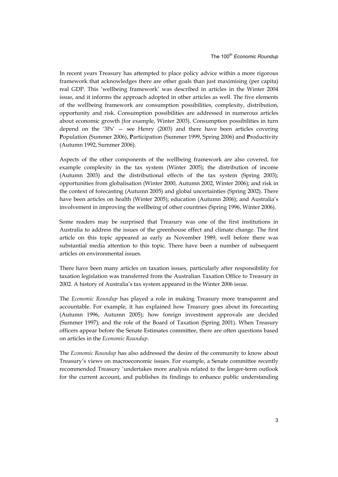In recent years Treasury has attempted to place policy advice within a more rigorous framework that acknowledges there are other goals than just maximising (per capita) real GDP. This 'wellbeing framework' was described in articles in the Winter 2004 issue, and it informs the approach adopted in other articles as well. The five elements of the wellbeing framework are consumption possibilities, complexity, distribution, opportunity and risk. Consumption possibilities are addressed in numerous articles about economic growth (for example, Winter 2003). Consumption possibilities in turn depend on the ' $3Ps'$  – see Henry (2003) and there have been articles covering **P**opulation (Summer 2006), **P**articipation (Summer 1999, Spring 2006) and **P**roductivity (Autumn 1992, Summer 2006).

Aspects of the other components of the wellbeing framework are also covered, for example complexity in the tax system (Winter 2005); the distribution of income (Autumn 2003) and the distributional effects of the tax system (Spring 2003); opportunities from globalisation (Winter 2000, Autumn 2002, Winter 2006); and risk in the context of forecasting (Autumn 2005) and global uncertainties (Spring 2002). There have been articles on health (Winter 2005); education (Autumn 2006); and Australia's involvement in improving the wellbeing of other countries (Spring 1996, Winter 2006).

Some readers may be surprised that Treasury was one of the first institutions in Australia to address the issues of the greenhouse effect and climate change. The first article on this topic appeared as early as November 1989, well before there was substantial media attention to this topic. There have been a number of subsequent articles on environmental issues.

There have been many articles on taxation issues, particularly after responsibility for taxation legislation was transferred from the Australian Taxation Office to Treasury in 2002. A history of Australia's tax system appeared in the Winter 2006 issue.

The *Economic Roundup* has played a role in making Treasury more transparent and accountable. For example, it has explained how Treasury goes about its forecasting (Autumn 1996, Autumn 2005); how foreign investment approvals are decided (Summer 1997); and the role of the Board of Taxation (Spring 2001). When Treasury officers appear before the Senate Estimates committee, there are often questions based on articles in the *Economic Roundup*.

The *Economic Roundup* has also addressed the desire of the community to know about Treasury's views on macroeconomic issues. For example, a Senate committee recently recommended Treasury 'undertakes more analysis related to the longer-term outlook for the current account, and publishes its findings to enhance public understanding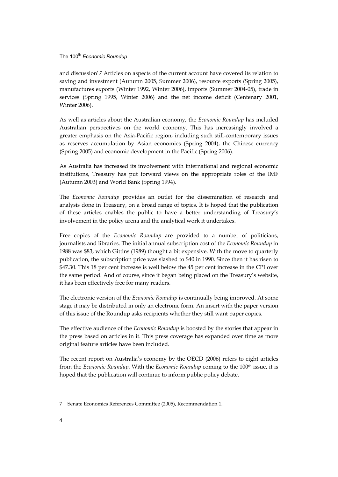The 100<sup>th</sup> Economic Roundup

and discussion'.7 Articles on aspects of the current account have covered its relation to saving and investment (Autumn 2005, Summer 2006), resource exports (Spring 2005), manufactures exports (Winter 1992, Winter 2006), imports (Summer 2004-05), trade in services (Spring 1995, Winter 2006) and the net income deficit (Centenary 2001, Winter 2006).

As well as articles about the Australian economy, the *Economic Roundup* has included Australian perspectives on the world economy. This has increasingly involved a greater emphasis on the Asia-Pacific region, including such still-contemporary issues as reserves accumulation by Asian economies (Spring 2004), the Chinese currency (Spring 2005) and economic development in the Pacific (Spring 2006).

As Australia has increased its involvement with international and regional economic institutions, Treasury has put forward views on the appropriate roles of the IMF (Autumn 2003) and World Bank (Spring 1994).

The *Economic Roundup* provides an outlet for the dissemination of research and analysis done in Treasury, on a broad range of topics. It is hoped that the publication of these articles enables the public to have a better understanding of Treasury's involvement in the policy arena and the analytical work it undertakes.

Free copies of the *Economic Roundup* are provided to a number of politicians, journalists and libraries. The initial annual subscription cost of the *Economic Roundup* in 1988 was \$83, which Gittins (1989) thought a bit expensive. With the move to quarterly publication, the subscription price was slashed to \$40 in 1990. Since then it has risen to \$47.30. This 18 per cent increase is well below the 45 per cent increase in the CPI over the same period. And of course, since it began being placed on the Treasury's website, it has been effectively free for many readers.

The electronic version of the *Economic Roundup* is continually being improved. At some stage it may be distributed in only an electronic form. An insert with the paper version of this issue of the Roundup asks recipients whether they still want paper copies.

The effective audience of the *Economic Roundup* is boosted by the stories that appear in the press based on articles in it. This press coverage has expanded over time as more original feature articles have been included.

The recent report on Australia's economy by the OECD (2006) refers to eight articles from the *Economic Roundup.* With the *Economic Roundup* coming to the 100th issue, it is hoped that the publication will continue to inform public policy debate.

j

<sup>7</sup> Senate Economics References Committee (2005), Recommendation 1.